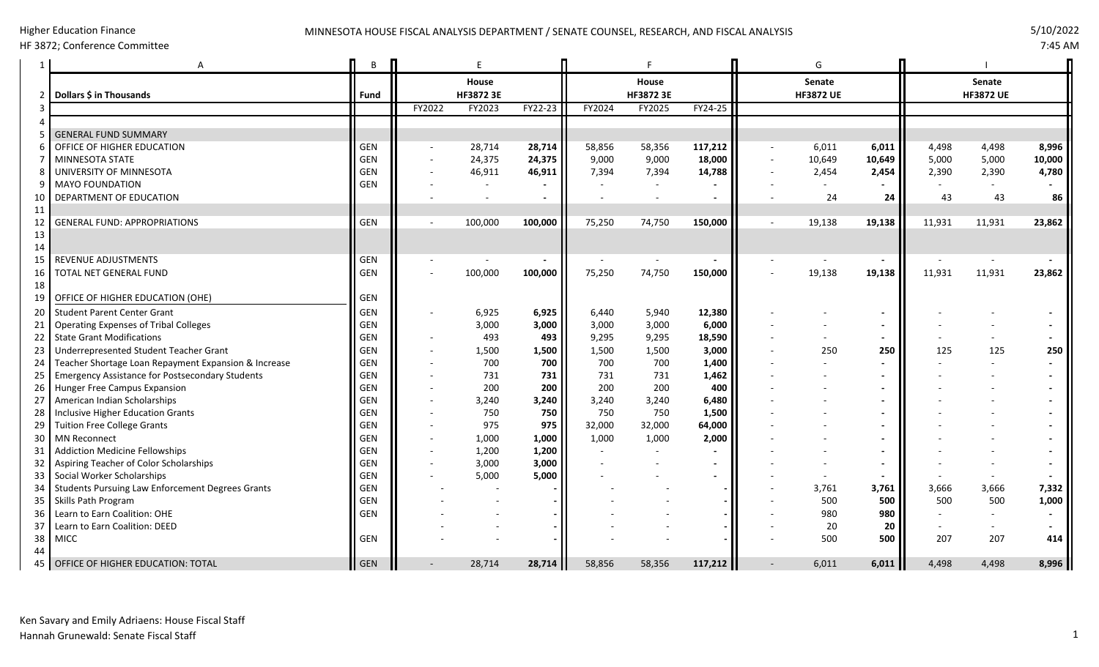## HF 3872; Conference Committee

7:45 AM

|                | A                                                      | B          |        | E         |         |        |           |         |                          | G                |        |               |                  |        |
|----------------|--------------------------------------------------------|------------|--------|-----------|---------|--------|-----------|---------|--------------------------|------------------|--------|---------------|------------------|--------|
|                |                                                        |            |        | House     |         | House  |           |         | Senate                   |                  |        | <b>Senate</b> |                  |        |
| 2              | Dollars \$ in Thousands                                | Fund       |        | HF3872 3E |         |        | HF3872 3E |         |                          | <b>HF3872 UE</b> |        |               | <b>HF3872 UE</b> |        |
| 3              |                                                        |            | FY2022 | FY2023    | FY22-23 | FY2024 | FY2025    | FY24-25 |                          |                  |        |               |                  |        |
|                |                                                        |            |        |           |         |        |           |         |                          |                  |        |               |                  |        |
|                | <b>GENERAL FUND SUMMARY</b>                            |            |        |           |         |        |           |         |                          |                  |        |               |                  |        |
| 6              | OFFICE OF HIGHER EDUCATION                             | <b>GEN</b> |        | 28,714    | 28,714  | 58,856 | 58,356    | 117,212 | $\overline{\phantom{a}}$ | 6,011            | 6,011  | 4,498         | 4,498            | 8,996  |
| $\overline{7}$ | <b>MINNESOTA STATE</b>                                 | <b>GEN</b> |        | 24,375    | 24,375  | 9,000  | 9,000     | 18,000  |                          | 10,649           | 10,649 | 5,000         | 5,000            | 10,000 |
| 8              | UNIVERSITY OF MINNESOTA                                | GEN        |        | 46,911    | 46,911  | 7,394  | 7,394     | 14,788  |                          | 2,454            | 2,454  | 2,390         | 2,390            | 4,780  |
| 9              | <b>MAYO FOUNDATION</b>                                 | GEN        |        |           |         |        |           |         |                          | $\overline{a}$   |        |               |                  |        |
| 10             | DEPARTMENT OF EDUCATION                                |            |        |           |         |        |           |         |                          | 24               | 24     | 43            | 43               | 86     |
| 11             |                                                        |            |        |           |         |        |           |         |                          |                  |        |               |                  |        |
| 12             | <b>GENERAL FUND: APPROPRIATIONS</b>                    | <b>GEN</b> |        | 100,000   | 100,000 | 75,250 | 74,750    | 150,000 | $\overline{\phantom{a}}$ | 19,138           | 19,138 | 11,931        | 11,931           | 23,862 |
| 13             |                                                        |            |        |           |         |        |           |         |                          |                  |        |               |                  |        |
| 14             |                                                        |            |        |           |         |        |           |         |                          |                  |        |               |                  |        |
| 15             | <b>REVENUE ADJUSTMENTS</b>                             | GEN        |        |           |         |        |           |         |                          |                  |        |               |                  |        |
| 16             | TOTAL NET GENERAL FUND                                 | <b>GEN</b> |        | 100,000   | 100,000 | 75,250 | 74,750    | 150,000 |                          | 19,138           | 19,138 | 11,931        | 11,931           | 23,862 |
| 18             |                                                        |            |        |           |         |        |           |         |                          |                  |        |               |                  |        |
| 19             | OFFICE OF HIGHER EDUCATION (OHE)                       | <b>GEN</b> |        |           |         |        |           |         |                          |                  |        |               |                  |        |
| 20             | <b>Student Parent Center Grant</b>                     | GEN        |        | 6,925     | 6,925   | 6,440  | 5,940     | 12,380  |                          |                  |        |               |                  |        |
| 21             | <b>Operating Expenses of Tribal Colleges</b>           | <b>GEN</b> |        | 3,000     | 3,000   | 3,000  | 3,000     | 6,000   |                          |                  |        |               |                  |        |
| 22             | <b>State Grant Modifications</b>                       | <b>GEN</b> |        | 493       | 493     | 9,295  | 9,295     | 18,590  |                          |                  |        |               |                  |        |
| 23             | Underrepresented Student Teacher Grant                 | <b>GEN</b> |        | 1,500     | 1,500   | 1,500  | 1,500     | 3,000   |                          | 250              | 250    | 125           | 125              | 250    |
| 24             | Teacher Shortage Loan Repayment Expansion & Increase   | <b>GEN</b> |        | 700       | 700     | 700    | 700       | 1,400   |                          |                  |        |               |                  |        |
| 25             | <b>Emergency Assistance for Postsecondary Students</b> | GEN        |        | 731       | 731     | 731    | 731       | 1,462   |                          |                  |        |               |                  |        |
| 26             | Hunger Free Campus Expansion                           | <b>GEN</b> |        | 200       | 200     | 200    | 200       | 400     |                          |                  |        |               |                  |        |
| 27             | American Indian Scholarships                           | <b>GEN</b> |        | 3,240     | 3,240   | 3,240  | 3,240     | 6,480   |                          |                  |        |               |                  |        |
| 28             | Inclusive Higher Education Grants                      | <b>GEN</b> |        | 750       | 750     | 750    | 750       | 1,500   |                          |                  |        |               |                  |        |
| 29             | <b>Tuition Free College Grants</b>                     | GEN        |        | 975       | 975     | 32,000 | 32,000    | 64,000  |                          |                  |        |               |                  |        |
| 30             | <b>MN Reconnect</b>                                    | <b>GEN</b> |        | 1,000     | 1,000   | 1,000  | 1,000     | 2,000   |                          |                  |        |               |                  |        |
| 31             | <b>Addiction Medicine Fellowships</b>                  | GEN        |        | 1,200     | 1,200   |        |           |         |                          |                  |        |               |                  |        |
| 32             | Aspiring Teacher of Color Scholarships                 | <b>GEN</b> |        | 3,000     | 3,000   |        |           |         |                          |                  |        |               |                  |        |
| 33             | Social Worker Scholarships                             | <b>GEN</b> |        | 5,000     | 5,000   |        |           |         |                          |                  |        |               |                  |        |
| 34             | Students Pursuing Law Enforcement Degrees Grants       | GEN        |        |           |         |        |           |         |                          | 3,761            | 3,761  | 3,666         | 3,666            | 7,332  |
| 35             | Skills Path Program                                    | GEN        |        |           |         |        |           |         |                          | 500              | 500    | 500           | 500              | 1,000  |
| 36             | Learn to Earn Coalition: OHE                           | GEN        |        |           |         |        |           |         |                          | 980              | 980    |               |                  |        |
| 37             | Learn to Earn Coalition: DEED                          |            |        |           |         |        |           |         |                          | 20               | 20     |               |                  |        |
| 38             | <b>MICC</b>                                            | <b>GEN</b> |        |           |         |        |           |         |                          | 500              | 500    | 207           | 207              | 414    |
| 44             |                                                        |            |        |           |         |        |           |         |                          |                  |        |               |                  |        |
| 45             | OFFICE OF HIGHER EDUCATION: TOTAL                      | II GEN     |        | 28,714    | 28,714  | 58,856 | 58,356    | 117,212 |                          | 6,011            | 6,011  | 4,498         | 4,498            | 8,996  |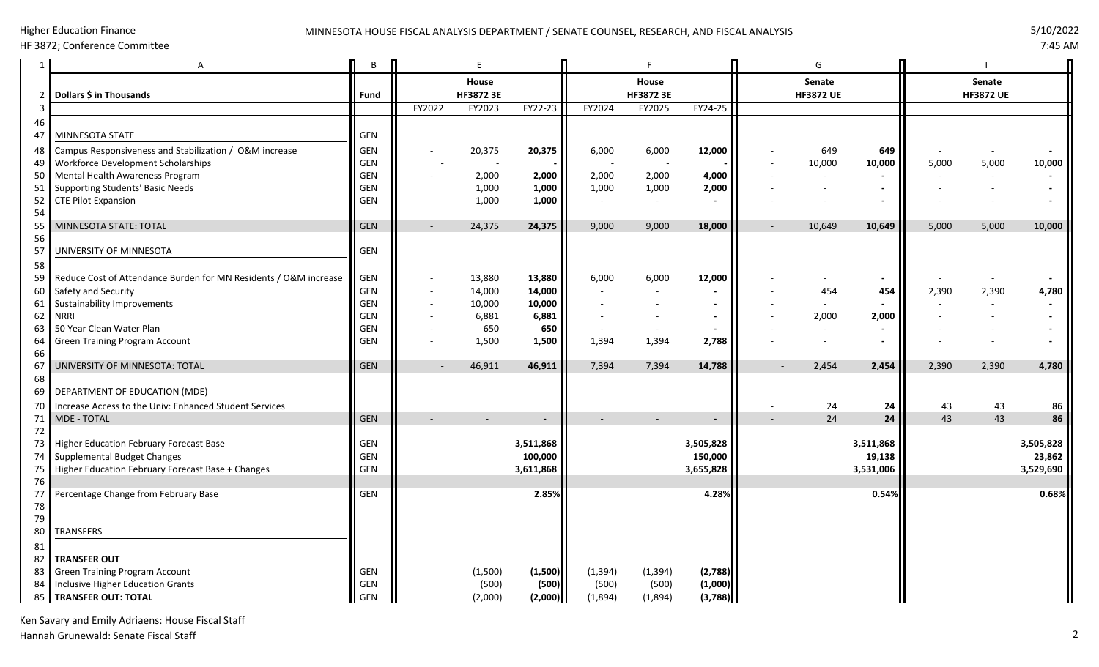#### Higher Education Finance

# MINNESOTA HOUSE FISCAL ANALYSIS DEPARTMENT / SENATE COUNSEL, RESEARCH, AND FISCAL ANALYSIS 5/10 72022

HF 3872; Conference Committee

7:45 AM

|          | Α                                                                     | B          |        | E                |                          |          | F                        |           |                          | G                |           |               |                  |           |
|----------|-----------------------------------------------------------------------|------------|--------|------------------|--------------------------|----------|--------------------------|-----------|--------------------------|------------------|-----------|---------------|------------------|-----------|
|          |                                                                       |            |        | House            |                          | House    |                          |           | <b>Senate</b>            |                  |           | <b>Senate</b> |                  |           |
|          | Dollars \$ in Thousands                                               | Fund       |        | <b>HF3872 3E</b> |                          |          | HF3872 3E                |           |                          | <b>HF3872 UE</b> |           |               | <b>HF3872 UE</b> |           |
|          |                                                                       |            | FY2022 | FY2023           | FY22-23                  | FY2024   | FY2025                   | FY24-25   |                          |                  |           |               |                  |           |
| 46<br>47 | MINNESOTA STATE                                                       | GEN        |        |                  |                          |          |                          |           |                          |                  |           |               |                  |           |
| 48       | Campus Responsiveness and Stabilization / O&M increase                | <b>GEN</b> |        | 20,375           | 20,375                   | 6,000    | 6,000                    | 12,000    |                          | 649              | 649       |               |                  |           |
| 49       | Workforce Development Scholarships                                    | GEN        |        |                  |                          |          |                          |           |                          | 10,000           | 10,000    | 5,000         | 5,000            | 10,000    |
| 50       | Mental Health Awareness Program                                       | GEN        |        | 2,000            | 2,000                    | 2,000    | 2,000                    | 4,000     |                          |                  |           |               |                  |           |
| 51       | <b>Supporting Students' Basic Needs</b>                               | GEN        |        | 1,000            | 1,000                    | 1,000    | 1,000                    | 2,000     |                          |                  |           |               |                  |           |
| 52       | <b>CTE Pilot Expansion</b>                                            | GEN        |        | 1,000            | 1,000                    |          | $\overline{\phantom{a}}$ |           |                          |                  |           |               |                  |           |
| 54       |                                                                       |            |        |                  |                          |          |                          |           |                          |                  |           |               |                  |           |
| 55<br>56 | MINNESOTA STATE: TOTAL                                                | <b>GEN</b> |        | 24,375           | 24,375                   | 9,000    | 9,000                    | 18,000    | $\overline{\phantom{a}}$ | 10,649           | 10,649    | 5,000         | 5,000            | 10,000    |
| 57       | UNIVERSITY OF MINNESOTA                                               | GEN        |        |                  |                          |          |                          |           |                          |                  |           |               |                  |           |
| 58       |                                                                       |            |        |                  |                          |          |                          |           |                          |                  |           |               |                  |           |
| 59       | Reduce Cost of Attendance Burden for MN Residents / O&M increase      | GEN        |        | 13,880           | 13,880                   | 6,000    | 6,000                    | 12,000    |                          |                  |           |               |                  |           |
| 60       | Safety and Security                                                   | GEN        |        | 14,000           | 14,000                   |          |                          |           |                          | 454              | 454       | 2,390         | 2,390            | 4,780     |
| 61       | Sustainability Improvements                                           | GEN        |        | 10,000           | 10,000                   |          |                          |           |                          | $\sim$           |           |               |                  |           |
| 62       | <b>NRRI</b>                                                           | GEN        |        | 6,881            | 6,881                    |          |                          |           |                          | 2,000            | 2,000     |               |                  |           |
| 63       | 50 Year Clean Water Plan                                              | <b>GEN</b> |        | 650              | 650                      |          |                          |           |                          |                  |           |               |                  |           |
| 64       | <b>Green Training Program Account</b>                                 | GEN        |        | 1,500            | 1,500                    | 1,394    | 1,394                    | 2,788     |                          |                  |           |               |                  |           |
| 66       |                                                                       |            |        |                  |                          |          |                          |           |                          |                  |           |               |                  |           |
| 67       | UNIVERSITY OF MINNESOTA: TOTAL                                        | <b>GEN</b> |        | 46,911           | 46,911                   | 7,394    | 7,394                    | 14,788    | $\overline{\phantom{a}}$ | 2,454            | 2,454     | 2,390         | 2,390            | 4,780     |
| 68       |                                                                       |            |        |                  |                          |          |                          |           |                          |                  |           |               |                  |           |
| 69       | DEPARTMENT OF EDUCATION (MDE)                                         |            |        |                  |                          |          |                          |           |                          |                  |           |               |                  |           |
| 70       | Increase Access to the Univ: Enhanced Student Services<br>MDE - TOTAL | GEN        |        |                  |                          |          |                          |           | $\overline{a}$           | 24<br>24         | 24        | 43<br>43      | 43<br>43         | 86<br>86  |
| 71<br>72 |                                                                       |            |        |                  | $\overline{\phantom{0}}$ |          |                          |           |                          |                  | 24        |               |                  |           |
| 73       | Higher Education February Forecast Base                               | GEN        |        |                  | 3,511,868                |          |                          | 3,505,828 |                          |                  | 3,511,868 |               |                  | 3,505,828 |
| 74       | Supplemental Budget Changes                                           | GEN        |        |                  | 100,000                  |          |                          | 150,000   |                          |                  | 19,138    |               |                  | 23,862    |
| 75       | Higher Education February Forecast Base + Changes                     | GEN        |        |                  | 3,611,868                |          |                          | 3,655,828 |                          |                  | 3,531,006 |               |                  | 3,529,690 |
| 76       |                                                                       |            |        |                  |                          |          |                          |           |                          |                  |           |               |                  |           |
| 77       | Percentage Change from February Base                                  | GEN        |        |                  | 2.85%                    |          |                          | 4.28%     |                          |                  | 0.54%     |               |                  | 0.68%     |
| 78       |                                                                       |            |        |                  |                          |          |                          |           |                          |                  |           |               |                  |           |
| 79       |                                                                       |            |        |                  |                          |          |                          |           |                          |                  |           |               |                  |           |
| 80       | <b>TRANSFERS</b>                                                      |            |        |                  |                          |          |                          |           |                          |                  |           |               |                  |           |
| 81       |                                                                       |            |        |                  |                          |          |                          |           |                          |                  |           |               |                  |           |
| 82       | <b>TRANSFER OUT</b>                                                   |            |        |                  |                          |          |                          |           |                          |                  |           |               |                  |           |
| 83       | <b>Green Training Program Account</b>                                 | GEN        |        | (1,500)          | (1,500)                  | (1, 394) | (1, 394)                 | (2,788)   |                          |                  |           |               |                  |           |
| 84       | Inclusive Higher Education Grants                                     | <b>GEN</b> |        | (500)            | (500)                    | (500)    | (500)                    | (1,000)   |                          |                  |           |               |                  |           |
|          | 85   TRANSFER OUT: TOTAL                                              | GEN        |        | (2,000)          | (2,000)                  | (1,894)  | (1,894)                  | (3,788)   |                          |                  |           |               |                  |           |

Ken Savary and Emily Adriaens: House Fiscal Staff Hannah Grunewald: Senate Fiscal Staff 2